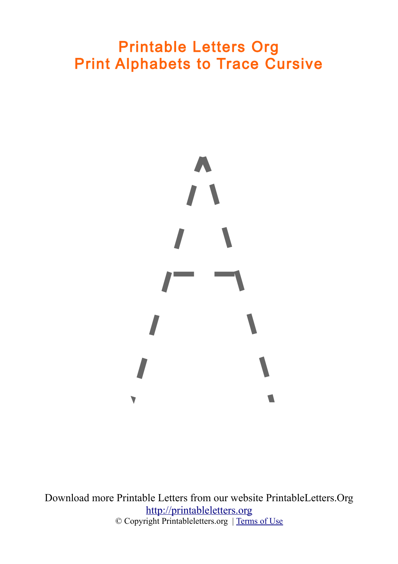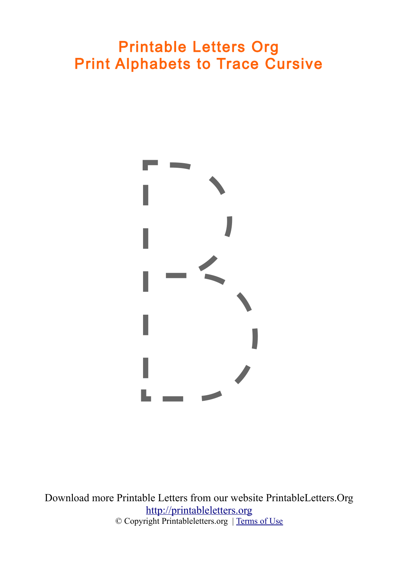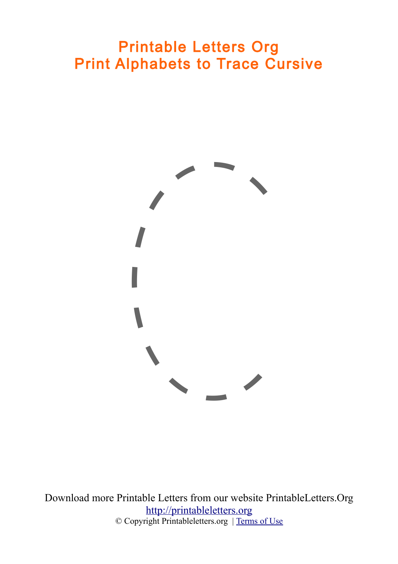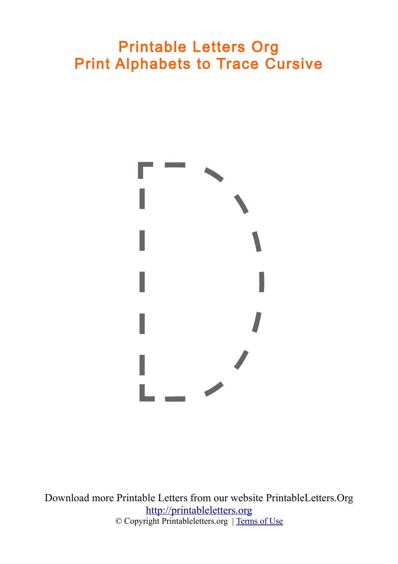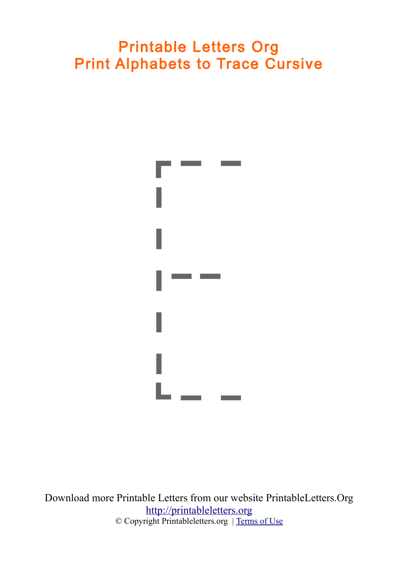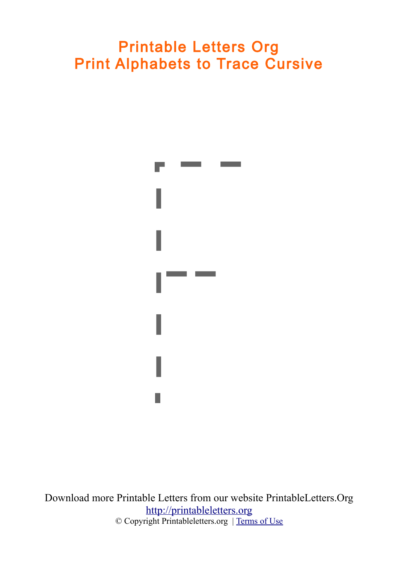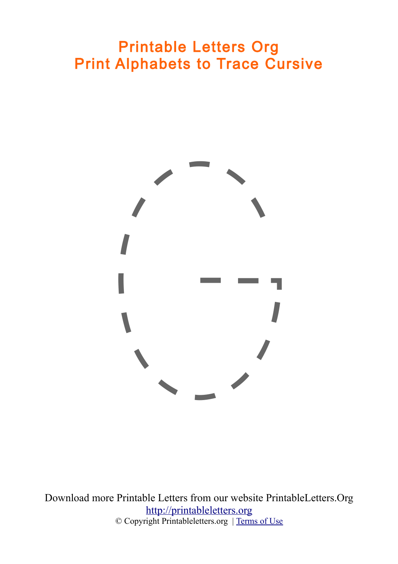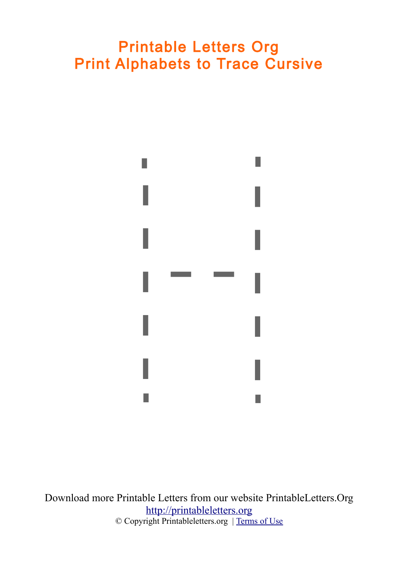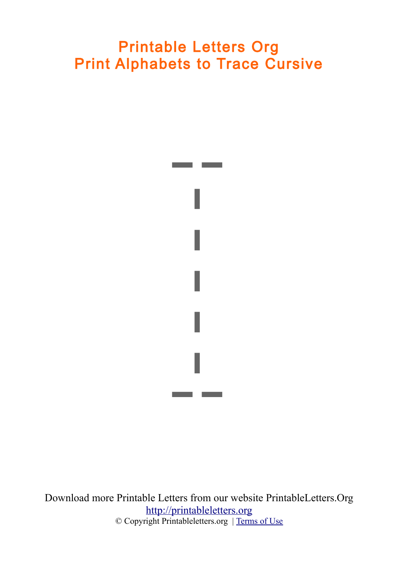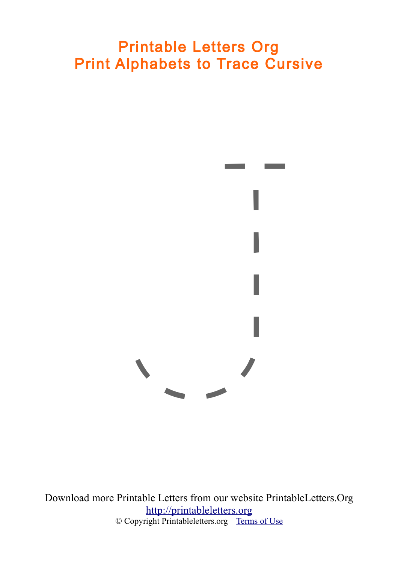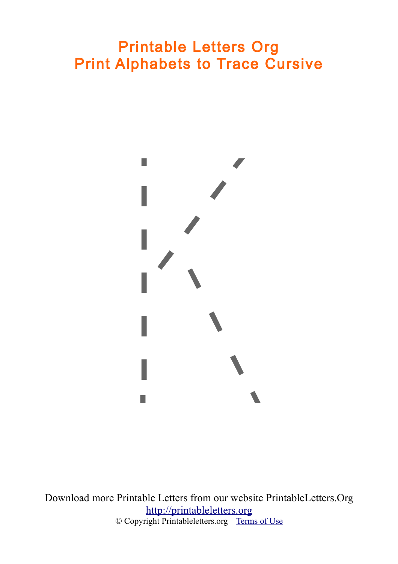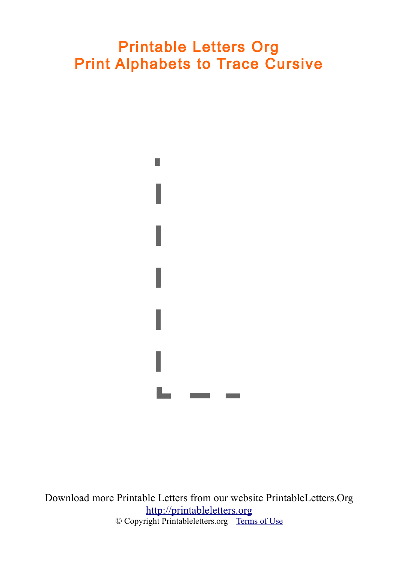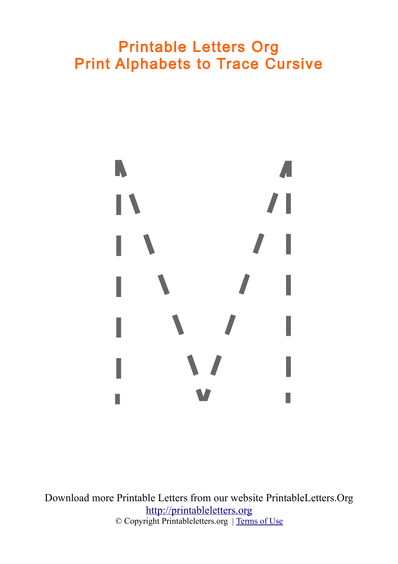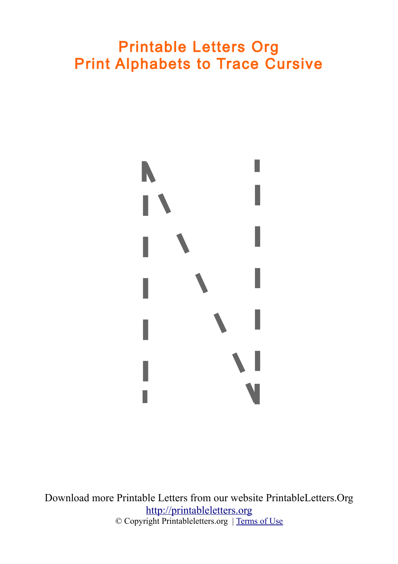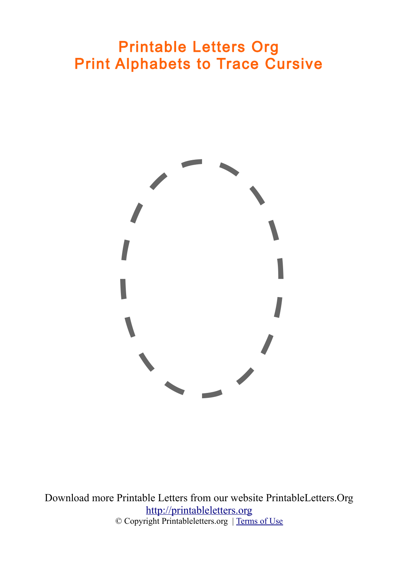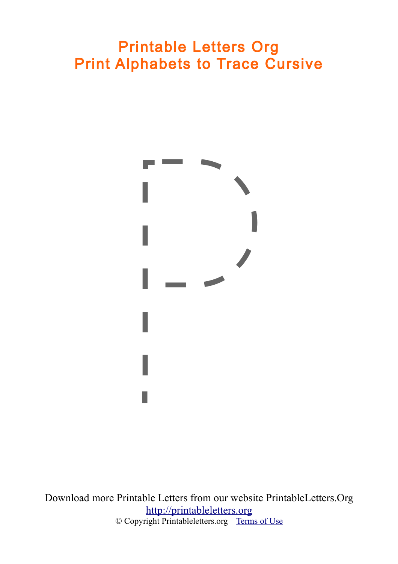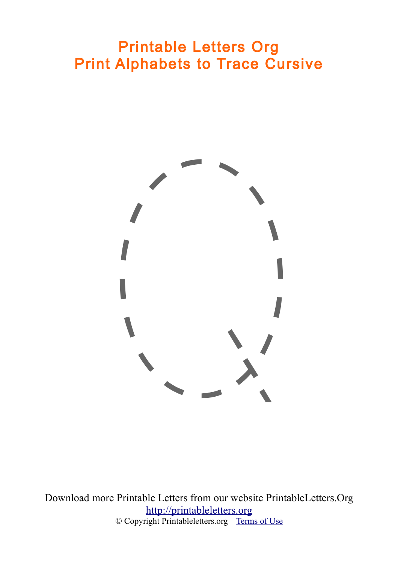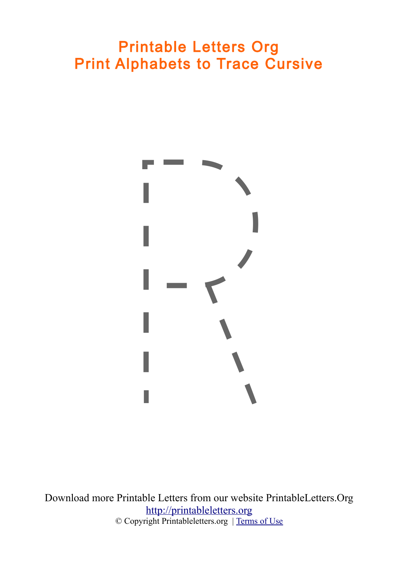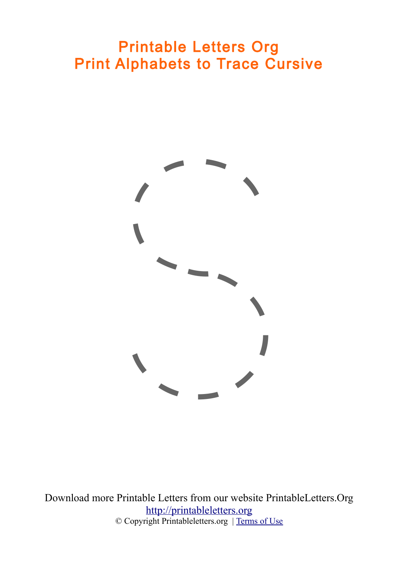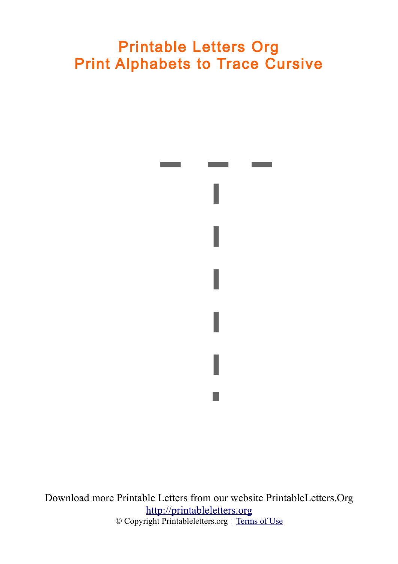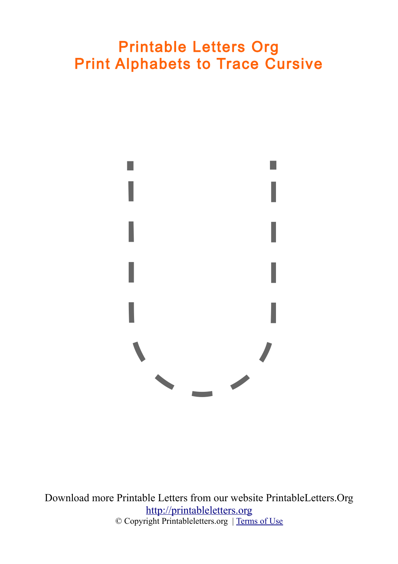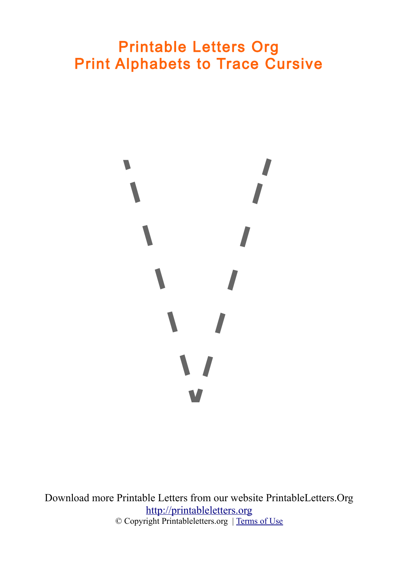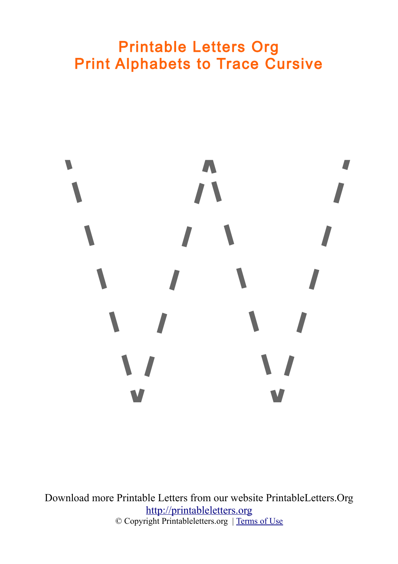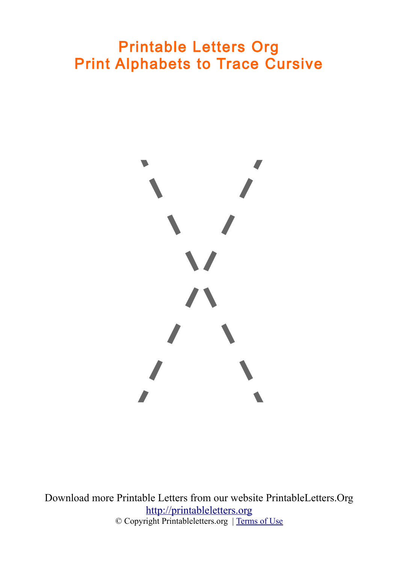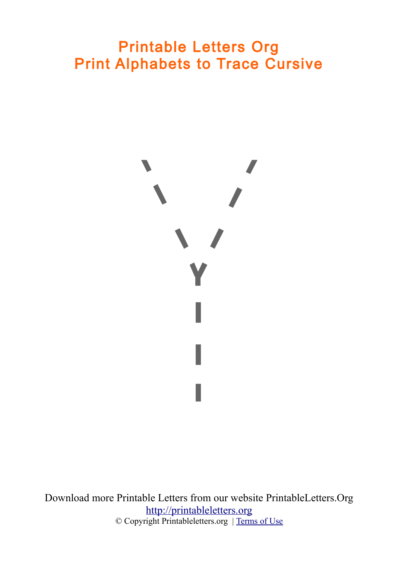